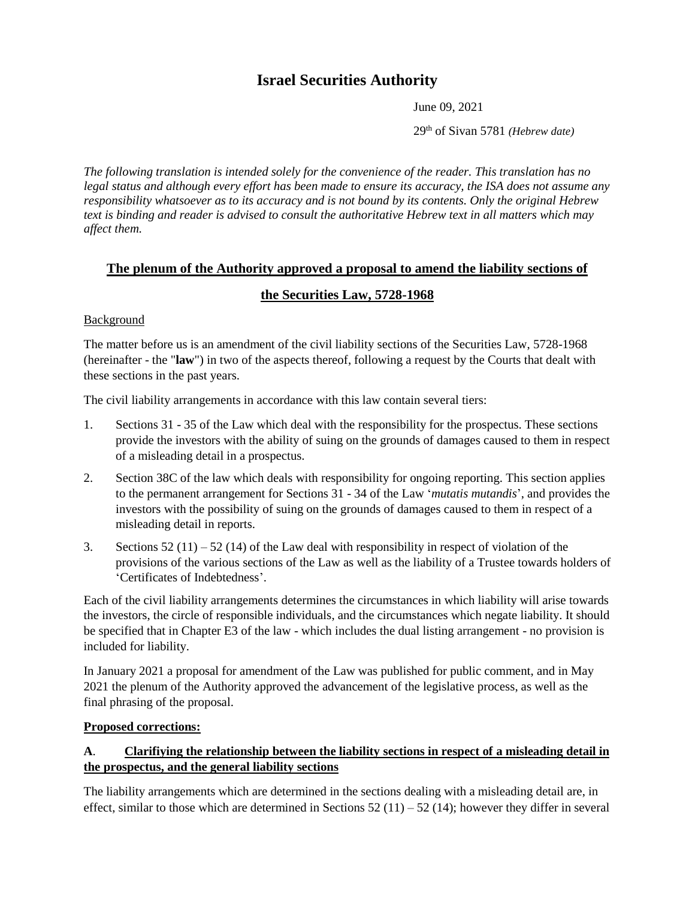# **Israel Securities Authority**

June 09, 2021

29th of Sivan 5781 *(Hebrew date)*

*The following translation is intended solely for the convenience of the reader. This translation has no legal status and although every effort has been made to ensure its accuracy, the ISA does not assume any responsibility whatsoever as to its accuracy and is not bound by its contents. Only the original Hebrew text is binding and reader is advised to consult the authoritative Hebrew text in all matters which may affect them.*

# **The plenum of the Authority approved a proposal to amend the liability sections of**

#### **the Securities Law, 5728-1968**

#### Background

The matter before us is an amendment of the civil liability sections of the Securities Law, 5728-1968 (hereinafter - the "**law**") in two of the aspects thereof, following a request by the Courts that dealt with these sections in the past years.

The civil liability arrangements in accordance with this law contain several tiers:

- 1. Sections 31 35 of the Law which deal with the responsibility for the prospectus. These sections provide the investors with the ability of suing on the grounds of damages caused to them in respect of a misleading detail in a prospectus.
- 2. Section 38C of the law which deals with responsibility for ongoing reporting. This section applies to the permanent arrangement for Sections 31 - 34 of the Law '*mutatis mutandis*', and provides the investors with the possibility of suing on the grounds of damages caused to them in respect of a misleading detail in reports.
- 3. Sections  $52(11) 52(14)$  of the Law deal with responsibility in respect of violation of the provisions of the various sections of the Law as well as the liability of a Trustee towards holders of 'Certificates of Indebtedness'.

Each of the civil liability arrangements determines the circumstances in which liability will arise towards the investors, the circle of responsible individuals, and the circumstances which negate liability. It should be specified that in Chapter E3 of the law - which includes the dual listing arrangement - no provision is included for liability.

In January 2021 a proposal for amendment of the Law was published for public comment, and in May 2021 the plenum of the Authority approved the advancement of the legislative process, as well as the final phrasing of the proposal.

#### **Proposed corrections:**

# **A**. **Clarifiying the relationship between the liability sections in respect of a misleading detail in the prospectus, and the general liability sections**

The liability arrangements which are determined in the sections dealing with a misleading detail are, in effect, similar to those which are determined in Sections 52 (11) – 52 (14); however they differ in several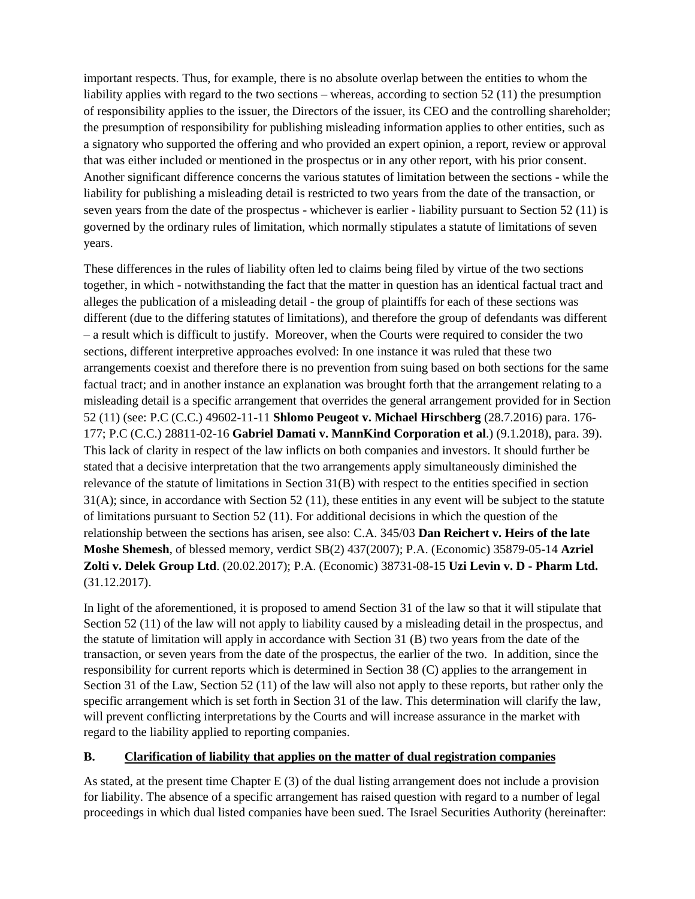important respects. Thus, for example, there is no absolute overlap between the entities to whom the liability applies with regard to the two sections – whereas, according to section 52 (11) the presumption of responsibility applies to the issuer, the Directors of the issuer, its CEO and the controlling shareholder; the presumption of responsibility for publishing misleading information applies to other entities, such as a signatory who supported the offering and who provided an expert opinion, a report, review or approval that was either included or mentioned in the prospectus or in any other report, with his prior consent. Another significant difference concerns the various statutes of limitation between the sections - while the liability for publishing a misleading detail is restricted to two years from the date of the transaction, or seven years from the date of the prospectus - whichever is earlier - liability pursuant to Section 52 (11) is governed by the ordinary rules of limitation, which normally stipulates a statute of limitations of seven years.

These differences in the rules of liability often led to claims being filed by virtue of the two sections together, in which - notwithstanding the fact that the matter in question has an identical factual tract and alleges the publication of a misleading detail - the group of plaintiffs for each of these sections was different (due to the differing statutes of limitations), and therefore the group of defendants was different – a result which is difficult to justify. Moreover, when the Courts were required to consider the two sections, different interpretive approaches evolved: In one instance it was ruled that these two arrangements coexist and therefore there is no prevention from suing based on both sections for the same factual tract; and in another instance an explanation was brought forth that the arrangement relating to a misleading detail is a specific arrangement that overrides the general arrangement provided for in Section 52 (11) (see: P.C (C.C.) 49602-11-11 **Shlomo Peugeot v. Michael Hirschberg** (28.7.2016) para. 176- 177; P.C (C.C.) 28811-02-16 **Gabriel Damati v. MannKind Corporation et al**.) (9.1.2018), para. 39). This lack of clarity in respect of the law inflicts on both companies and investors. It should further be stated that a decisive interpretation that the two arrangements apply simultaneously diminished the relevance of the statute of limitations in Section 31(B) with respect to the entities specified in section  $31(A)$ ; since, in accordance with Section 52 (11), these entities in any event will be subject to the statute of limitations pursuant to Section 52 (11). For additional decisions in which the question of the relationship between the sections has arisen, see also: C.A. 345/03 **Dan Reichert v. Heirs of the late Moshe Shemesh**, of blessed memory, verdict SB(2) 437(2007); P.A. (Economic) 35879-05-14 **Azriel Zolti v. Delek Group Ltd**. (20.02.2017); P.A. (Economic) 38731-08-15 **Uzi Levin v. D - Pharm Ltd.** (31.12.2017).

In light of the aforementioned, it is proposed to amend Section 31 of the law so that it will stipulate that Section 52 (11) of the law will not apply to liability caused by a misleading detail in the prospectus, and the statute of limitation will apply in accordance with Section 31 (B) two years from the date of the transaction, or seven years from the date of the prospectus, the earlier of the two. In addition, since the responsibility for current reports which is determined in Section 38 (C) applies to the arrangement in Section 31 of the Law, Section 52 (11) of the law will also not apply to these reports, but rather only the specific arrangement which is set forth in Section 31 of the law. This determination will clarify the law, will prevent conflicting interpretations by the Courts and will increase assurance in the market with regard to the liability applied to reporting companies.

#### **B. Clarification of liability that applies on the matter of dual registration companies**

As stated, at the present time Chapter E (3) of the dual listing arrangement does not include a provision for liability. The absence of a specific arrangement has raised question with regard to a number of legal proceedings in which dual listed companies have been sued. The Israel Securities Authority (hereinafter: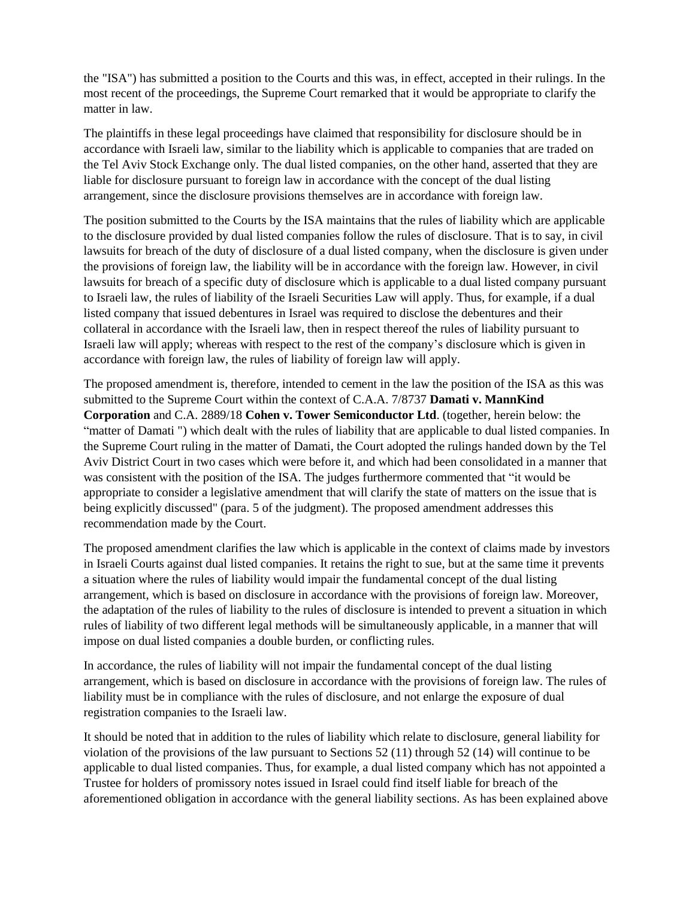the "ISA") has submitted a position to the Courts and this was, in effect, accepted in their rulings. In the most recent of the proceedings, the Supreme Court remarked that it would be appropriate to clarify the matter in law.

The plaintiffs in these legal proceedings have claimed that responsibility for disclosure should be in accordance with Israeli law, similar to the liability which is applicable to companies that are traded on the Tel Aviv Stock Exchange only. The dual listed companies, on the other hand, asserted that they are liable for disclosure pursuant to foreign law in accordance with the concept of the dual listing arrangement, since the disclosure provisions themselves are in accordance with foreign law.

The position submitted to the Courts by the ISA maintains that the rules of liability which are applicable to the disclosure provided by dual listed companies follow the rules of disclosure. That is to say, in civil lawsuits for breach of the duty of disclosure of a dual listed company, when the disclosure is given under the provisions of foreign law, the liability will be in accordance with the foreign law. However, in civil lawsuits for breach of a specific duty of disclosure which is applicable to a dual listed company pursuant to Israeli law, the rules of liability of the Israeli Securities Law will apply. Thus, for example, if a dual listed company that issued debentures in Israel was required to disclose the debentures and their collateral in accordance with the Israeli law, then in respect thereof the rules of liability pursuant to Israeli law will apply; whereas with respect to the rest of the company's disclosure which is given in accordance with foreign law, the rules of liability of foreign law will apply.

The proposed amendment is, therefore, intended to cement in the law the position of the ISA as this was submitted to the Supreme Court within the context of C.A.A. 7/8737 **Damati v. MannKind Corporation** and C.A. 2889/18 **Cohen v. Tower Semiconductor Ltd**. (together, herein below: the "matter of Damati ") which dealt with the rules of liability that are applicable to dual listed companies. In the Supreme Court ruling in the matter of Damati, the Court adopted the rulings handed down by the Tel Aviv District Court in two cases which were before it, and which had been consolidated in a manner that was consistent with the position of the ISA. The judges furthermore commented that "it would be appropriate to consider a legislative amendment that will clarify the state of matters on the issue that is being explicitly discussed" (para. 5 of the judgment). The proposed amendment addresses this recommendation made by the Court.

The proposed amendment clarifies the law which is applicable in the context of claims made by investors in Israeli Courts against dual listed companies. It retains the right to sue, but at the same time it prevents a situation where the rules of liability would impair the fundamental concept of the dual listing arrangement, which is based on disclosure in accordance with the provisions of foreign law. Moreover, the adaptation of the rules of liability to the rules of disclosure is intended to prevent a situation in which rules of liability of two different legal methods will be simultaneously applicable, in a manner that will impose on dual listed companies a double burden, or conflicting rules.

In accordance, the rules of liability will not impair the fundamental concept of the dual listing arrangement, which is based on disclosure in accordance with the provisions of foreign law. The rules of liability must be in compliance with the rules of disclosure, and not enlarge the exposure of dual registration companies to the Israeli law.

It should be noted that in addition to the rules of liability which relate to disclosure, general liability for violation of the provisions of the law pursuant to Sections 52 (11) through 52 (14) will continue to be applicable to dual listed companies. Thus, for example, a dual listed company which has not appointed a Trustee for holders of promissory notes issued in Israel could find itself liable for breach of the aforementioned obligation in accordance with the general liability sections. As has been explained above